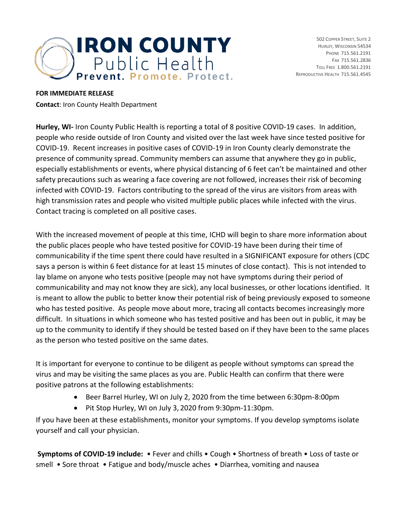

502 COPPER STREET, SUITE 2 HURLEY, WISCONSIN 54534 PHONE 715.561.2191 FAX 715.561.2836 TOLL FREE 1.800.561.2191 REPRODUCTIVE HEALTH 715.561.4545

## **FOR IMMEDIATE RELEASE**

**Contact**: Iron County Health Department

**Hurley, WI-** Iron County Public Health is reporting a total of 8 positive COVID-19 cases. In addition, people who reside outside of Iron County and visited over the last week have since tested positive for COVID-19. Recent increases in positive cases of COVID-19 in Iron County clearly demonstrate the presence of community spread. Community members can assume that anywhere they go in public, especially establishments or events, where physical distancing of 6 feet can't be maintained and other safety precautions such as wearing a face covering are not followed, increases their risk of becoming infected with COVID-19. Factors contributing to the spread of the virus are visitors from areas with high transmission rates and people who visited multiple public places while infected with the virus. Contact tracing is completed on all positive cases.

With the increased movement of people at this time, ICHD will begin to share more information about the public places people who have tested positive for COVID-19 have been during their time of communicability if the time spent there could have resulted in a SIGNIFICANT exposure for others (CDC says a person is within 6 feet distance for at least 15 minutes of close contact). This is not intended to lay blame on anyone who tests positive (people may not have symptoms during their period of communicability and may not know they are sick), any local businesses, or other locations identified. It is meant to allow the public to better know their potential risk of being previously exposed to someone who has tested positive. As people move about more, tracing all contacts becomes increasingly more difficult. In situations in which someone who has tested positive and has been out in public, it may be up to the community to identify if they should be tested based on if they have been to the same places as the person who tested positive on the same dates.

It is important for everyone to continue to be diligent as people without symptoms can spread the virus and may be visiting the same places as you are. Public Health can confirm that there were positive patrons at the following establishments:

- Beer Barrel Hurley, WI on July 2, 2020 from the time between 6:30pm-8:00pm
- Pit Stop Hurley, WI on July 3, 2020 from 9:30pm-11:30pm.

If you have been at these establishments, monitor your symptoms. If you develop symptoms isolate yourself and call your physician.

**Symptoms of COVID-19 include:** • Fever and chills • Cough • Shortness of breath • Loss of taste or smell • Sore throat • Fatigue and body/muscle aches • Diarrhea, vomiting and nausea